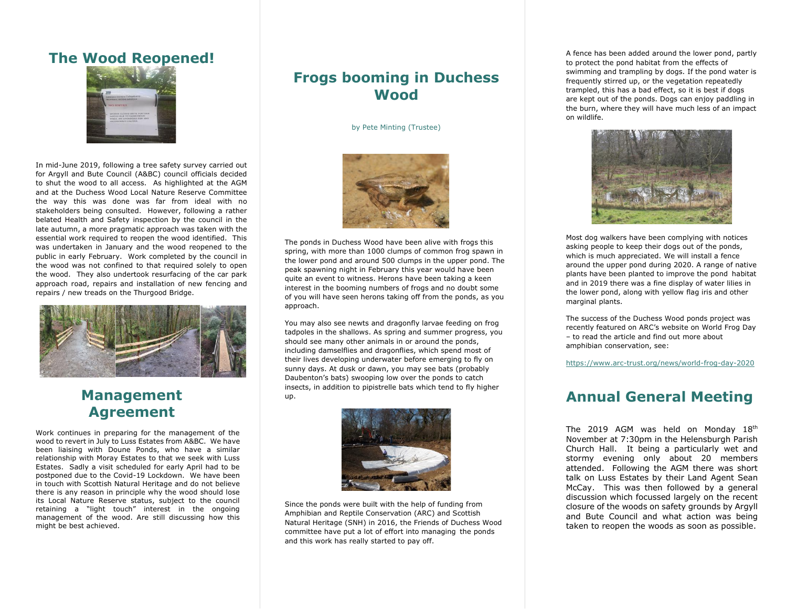#### **The Wood Reopened!**



In mid-June 2019, following a tree safety survey carried out for Argyll and Bute Council (A&BC) council officials decided to shut the wood to all access. As highlighted at the AGM and at the Duchess Wood Local Nature Reserve Committee the way this was done was far from ideal with no stakeholders being consulted. However, following a rather belated Health and Safety inspection by the council in the late autumn, a more pragmatic approach was taken with the essential work required to reopen the wood identified. This was undertaken in January and the wood reopened to the public in early February. Work completed by the council in the wood was not confined to that required solely to open the wood. They also undertook resurfacing of the car park approach road, repairs and installation of new fencing and repairs / new treads on the Thurgood Bridge.



## **Management Agreement**

Work continues in preparing for the management of the wood to revert in July to Luss Estates from A&BC. We have been liaising with Doune Ponds, who have a similar relationship with Moray Estates to that we seek with Luss Estates. Sadly a visit scheduled for early April had to be postponed due to the Covid-19 Lockdown. We have been in touch with Scottish Natural Heritage and do not believe there is any reason in principle why the wood should lose its Local Nature Reserve status, subject to the council retaining a "light touch" interest in the ongoing management of the wood. Are still discussing how this might be best achieved.

#### **Frogs booming in Duchess Wood**

by Pete Minting (Trustee)



The ponds in Duchess Wood have been alive with frogs this spring, with more than 1000 clumps of common frog spawn in the lower pond and around 500 clumps in the upper pond. The peak spawning night in February this year would have been quite an event to witness. Herons have been taking a keen interest in the booming numbers of frogs and no doubt some of you will have seen herons taking off from the ponds, as you approach.

You may also see newts and dragonfly larvae feeding on frog tadpoles in the shallows. As spring and summer progress, you should see many other animals in or around the ponds, including damselflies and dragonflies, which spend most of their lives developing underwater before emerging to fly on sunny days. At dusk or dawn, you may see bats (probably Daubenton's bats) swooping low over the ponds to catch insects, in addition to pipistrelle bats which tend to fly higher up.



Since the ponds were built with the help of funding from Amphibian and Reptile Conservation (ARC) and Scottish Natural Heritage (SNH) in 2016, the Friends of Duchess Wood committee have put a lot of effort into managing the ponds and this work has really started to pay off.

A fence has been added around the lower pond, partly to protect the pond habitat from the effects of swimming and trampling by dogs. If the pond water is frequently stirred up, or the vegetation repeatedly trampled, this has a bad effect, so it is best if dogs are kept out of the ponds. Dogs can enjoy paddling in the burn, where they will have much less of an impact on wildlife.



Most dog walkers have been complying with notices asking people to keep their dogs out of the ponds, which is much appreciated. We will install a fence around the upper pond during 2020. A range of native plants have been planted to improve the pond habitat and in 2019 there was a fine display of water lilies in the lower pond, along with yellow flag iris and other marginal plants.

The success of the Duchess Wood ponds project was recently featured on ARC's website on World Frog Day – to read the article and find out more about amphibian conservation, see:

<https://www.arc-trust.org/news/world-frog-day-2020>

# **Annual General Meeting**

The 2019 AGM was held on Monday 18<sup>th</sup> November at 7:30pm in the Helensburgh Parish Church Hall. It being a particularly wet and stormy evening only about 20 members attended. Following the AGM there was short talk on Luss Estates by their Land Agent Sean McCay. This was then followed by a general discussion which focussed largely on the recent closure of the woods on safety grounds by Argyll and Bute Council and what action was being taken to reopen the woods as soon as possible.